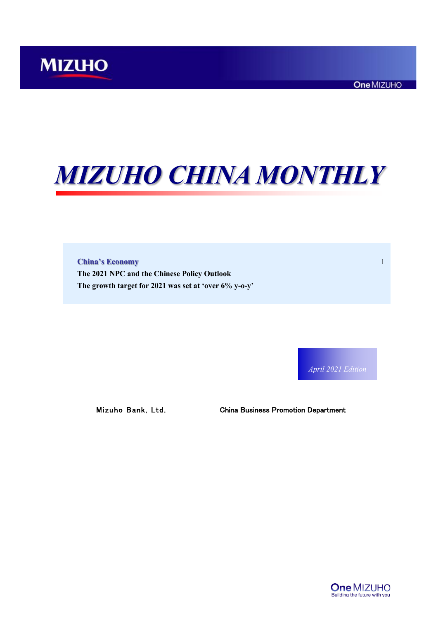# *MIZUHO CHINA MONTHLY*

**China's Economy** 1 **The 2021 NPC and the Chinese Policy Outlook The growth target for 2021 was set at 'over 6% y-o-y'**

*April 2021 Edition*

Mizuho Bank, Ltd. China Business Promotion Department

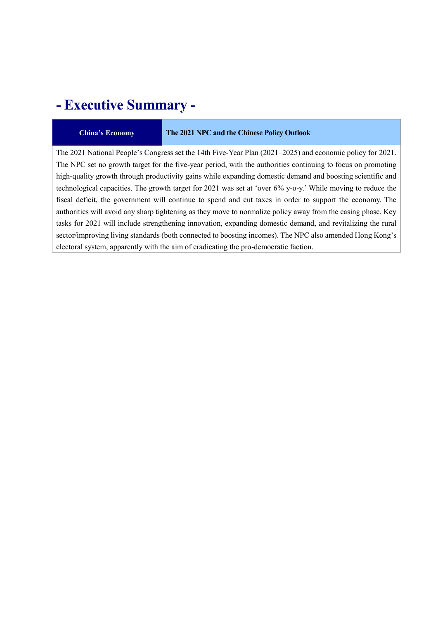# **- Executive Summary -**

#### **China's Economy The 2021 NPC and the Chinese Policy Outlook**

The 2021 National People's Congress set the 14th Five-Year Plan (2021–2025) and economic policy for 2021. The NPC set no growth target for the five-year period, with the authorities continuing to focus on promoting high-quality growth through productivity gains while expanding domestic demand and boosting scientific and technological capacities. The growth target for 2021 was set at 'over 6% y-o-y.' While moving to reduce the fiscal deficit, the government will continue to spend and cut taxes in order to support the economy. The authorities will avoid any sharp tightening as they move to normalize policy away from the easing phase. Key tasks for 2021 will include strengthening innovation, expanding domestic demand, and revitalizing the rural sector/improving living standards (both connected to boosting incomes). The NPC also amended Hong Kong's electoral system, apparently with the aim of eradicating the pro-democratic faction.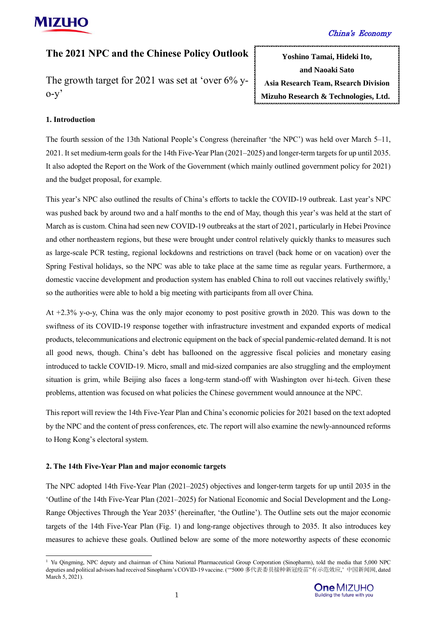# **The 2021 NPC and the Chinese Policy Outlook**

The growth target for 2021 was set at 'over 6% y- $O-V$ 

**Yoshino Tamai, Hideki Ito, and Naoaki Sato Asia Research Team, Rsearch Division Mizuho Research & Technologies, Ltd.**

#### **1. Introduction**

The fourth session of the 13th National People's Congress (hereinafter 'the NPC') was held over March 5–11, 2021. It set medium-term goals for the 14th Five-Year Plan (2021–2025) and longer-term targets for up until 2035. It also adopted the Report on the Work of the Government (which mainly outlined government policy for 2021) and the budget proposal, for example.

This year's NPC also outlined the results of China's efforts to tackle the COVID-19 outbreak. Last year's NPC was pushed back by around two and a half months to the end of May, though this year's was held at the start of March as is custom. China had seen new COVID-19 outbreaks at the start of 2021, particularly in Hebei Province and other northeastern regions, but these were brought under control relatively quickly thanks to measures such as large-scale PCR testing, regional lockdowns and restrictions on travel (back home or on vacation) over the Spring Festival holidays, so the NPC was able to take place at the same time as regular years. Furthermore, a domestic vaccine development and production system has enabled China to roll out vaccines relatively swiftly, 1 so the authorities were able to hold a big meeting with participants from all over China.

At +2.3% y-o-y, China was the only major economy to post positive growth in 2020. This was down to the swiftness of its COVID-19 response together with infrastructure investment and expanded exports of medical products, telecommunications and electronic equipment on the back of special pandemic-related demand. It is not all good news, though. China's debt has ballooned on the aggressive fiscal policies and monetary easing introduced to tackle COVID-19. Micro, small and mid-sized companies are also struggling and the employment situation is grim, while Beijing also faces a long-term stand-off with Washington over hi-tech. Given these problems, attention was focused on what policies the Chinese government would announce at the NPC.

This report will review the 14th Five-Year Plan and China's economic policies for 2021 based on the text adopted by the NPC and the content of press conferences, etc. The report will also examine the newly-announced reforms to Hong Kong's electoral system.

#### **2. The 14th Five-Year Plan and major economic targets**

 $\overline{a}$ 

The NPC adopted 14th Five-Year Plan (2021–2025) objectives and longer-term targets for up until 2035 in the 'Outline of the 14th Five-Year Plan (2021–2025) for National Economic and Social Development and the Long-Range Objectives Through the Year 2035' (hereinafter, 'the Outline'). The Outline sets out the major economic targets of the 14th Five-Year Plan (Fig. 1) and long-range objectives through to 2035. It also introduces key measures to achieve these goals. Outlined below are some of the more noteworthy aspects of these economic

<sup>&</sup>lt;sup>1</sup> Yu Qingming, NPC deputy and chairman of China National Pharmaceutical Group Corporation (Sinopharm), told the media that 5,000 NPC deputies and political advisors had received Sinopharm's COVID-19 vaccine. ('"5000 多代表委员接种新冠疫苗"有示范效应,' 中国新闻网, dated March 5, 2021).

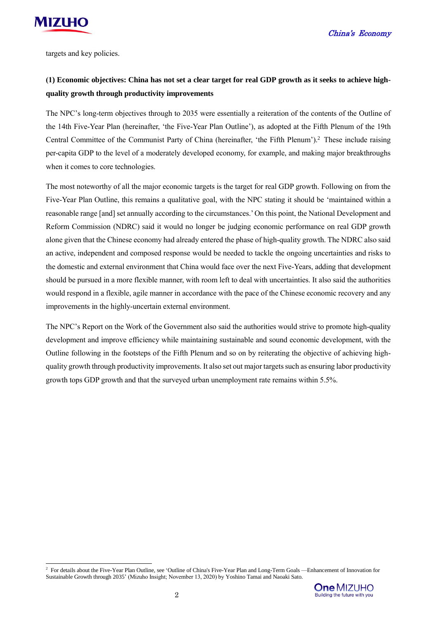

targets and key policies.

# **(1) Economic objectives: China has not set a clear target for real GDP growth as it seeks to achieve highquality growth through productivity improvements**

The NPC's long-term objectives through to 2035 were essentially a reiteration of the contents of the Outline of the 14th Five-Year Plan (hereinafter, 'the Five-Year Plan Outline'), as adopted at the Fifth Plenum of the 19th Central Committee of the Communist Party of China (hereinafter, 'the Fifth Plenum'). <sup>2</sup> These include raising per-capita GDP to the level of a moderately developed economy, for example, and making major breakthroughs when it comes to core technologies.

The most noteworthy of all the major economic targets is the target for real GDP growth. Following on from the Five-Year Plan Outline, this remains a qualitative goal, with the NPC stating it should be 'maintained within a reasonable range [and] set annually according to the circumstances.' On this point, the National Development and Reform Commission (NDRC) said it would no longer be judging economic performance on real GDP growth alone given that the Chinese economy had already entered the phase of high-quality growth. The NDRC also said an active, independent and composed response would be needed to tackle the ongoing uncertainties and risks to the domestic and external environment that China would face over the next Five-Years, adding that development should be pursued in a more flexible manner, with room left to deal with uncertainties. It also said the authorities would respond in a flexible, agile manner in accordance with the pace of the Chinese economic recovery and any improvements in the highly-uncertain external environment.

The NPC's Report on the Work of the Government also said the authorities would strive to promote high-quality development and improve efficiency while maintaining sustainable and sound economic development, with the Outline following in the footsteps of the Fifth Plenum and so on by reiterating the objective of achieving highquality growth through productivity improvements. It also set out major targets such as ensuring labor productivity growth tops GDP growth and that the surveyed urban unemployment rate remains within 5.5%.

 $\overline{a}$ <sup>2</sup> For details about the Five-Year Plan Outline, see 'Outline of China's Five-Year Plan and Long-Term Goals —Enhancement of Innovation for Sustainable Growth through 2035' (Mizuho Insight; November 13, 2020) by Yoshino Tamai and Naoaki Sato.

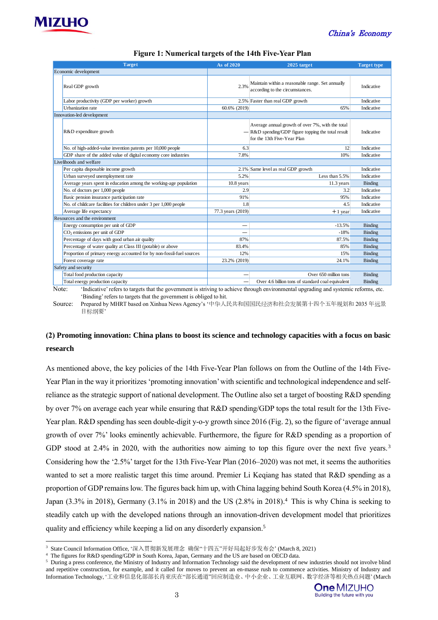



| Figure 1: Numerical targets of the 14th Five-Year Plan                |                   |                                                                                                                                         |                    |  |  |
|-----------------------------------------------------------------------|-------------------|-----------------------------------------------------------------------------------------------------------------------------------------|--------------------|--|--|
| <b>Target</b>                                                         | As of 2020        | 2025 target                                                                                                                             | <b>Target type</b> |  |  |
| Economic development                                                  |                   |                                                                                                                                         |                    |  |  |
| Real GDP growth                                                       | 2.3%              | Maintain within a reasonable range. Set annually<br>according to the circumstances.                                                     | Indicative         |  |  |
| Labor productivity (GDP per worker) growth                            |                   | 2.5% Faster than real GDP growth                                                                                                        | Indicative         |  |  |
| Urbanization rate                                                     | 60.6% (2019)      | 65%                                                                                                                                     | Indicative         |  |  |
| Innovation-led development                                            |                   |                                                                                                                                         |                    |  |  |
| R&D expenditure growth                                                |                   | Average annual growth of over 7%, with the total<br>$-$ R&D spending/GDP figure topping the total result<br>for the 13th Five-Year Plan | Indicative         |  |  |
| No. of high-added-value invention patents per 10,000 people           | 6.3               | 12                                                                                                                                      | Indicative         |  |  |
| GDP share of the added value of digital economy core industries       | 7.8%              | 10%                                                                                                                                     | Indicative         |  |  |
| Livelihoods and welfare                                               |                   |                                                                                                                                         |                    |  |  |
| Per capita disposable income growth                                   |                   | 2.1% Same level as real GDP growth                                                                                                      | Indicative         |  |  |
| Urban surveyed unemployment rate                                      | 5.2%              | Less than 5.5%                                                                                                                          | Indicative         |  |  |
| Average years spent in education among the working-age population     | $10.8$ years      | $11.3$ years                                                                                                                            | Binding            |  |  |
| No. of doctors per 1,000 people                                       | 2.9               | 3.2                                                                                                                                     | Indicative         |  |  |
| Basic pension insurance participation rate                            | 91%               | 95%                                                                                                                                     | Indicative         |  |  |
| No. of childcare facilities for children under 3 per 1,000 people     | 1.8               | 4.5                                                                                                                                     | Indicative         |  |  |
| Average life expectancy                                               | 77.3 years (2019) | $+1$ year                                                                                                                               | Indicative         |  |  |
| Resources and the environment                                         |                   |                                                                                                                                         |                    |  |  |
| Energy consumption per unit of GDP                                    | -                 | $-13.5%$                                                                                                                                | <b>Binding</b>     |  |  |
| CO <sub>2</sub> emissions per unit of GDP                             |                   | $-18%$                                                                                                                                  | Binding            |  |  |
| Percentage of days with good urban air quality                        | 87%               | 87.5%                                                                                                                                   | <b>Binding</b>     |  |  |
| Percentage of water quality at Class III (potable) or above           | 83.4%             | 85%                                                                                                                                     | <b>Binding</b>     |  |  |
| Proportion of primary energy accounted for by non-fossil-fuel sources | 12%               | 15%                                                                                                                                     | <b>Binding</b>     |  |  |
| Forest coverage rate                                                  | 23.2% (2019)      | 24.1%                                                                                                                                   | Binding            |  |  |
| Safety and security                                                   |                   |                                                                                                                                         |                    |  |  |
| Total food production capacity                                        |                   | Over 650 million tons                                                                                                                   | <b>Binding</b>     |  |  |

Note: 'Indicative' refers to targets that the government is striving to achieve through environmental upgrading and systemic reforms, etc. 'Binding' refers to targets that the government is obliged to hit. Total energy production capacity

Source: Prepared by MHRT based on Xinhua News Agency's '中华人民共和国国民经济和社会发展第十四个五年规划和 2035 年远景 目标纲要'

# **(2) Promoting innovation: China plans to boost its science and technology capacities with a focus on basic research**

As mentioned above, the key policies of the 14th Five-Year Plan follows on from the Outline of the 14th Five-Year Plan in the way it prioritizes 'promoting innovation' with scientific and technological independence and selfreliance as the strategic support of national development. The Outline also set a target of boosting R&D spending by over 7% on average each year while ensuring that R&D spending/GDP tops the total result for the 13th Five-Year plan. R&D spending has seen double-digit y-o-y growth since 2016 (Fig. 2), so the figure of 'average annual growth of over 7%' looks eminently achievable. Furthermore, the figure for R&D spending as a proportion of GDP stood at 2.4% in 2020, with the authorities now aiming to top this figure over the next five years.<sup>3</sup> Considering how the '2.5%' target for the 13th Five-Year Plan (2016–2020) was not met, it seems the authorities wanted to set a more realistic target this time around. Premier Li Keqiang has stated that R&D spending as a proportion of GDP remains low. The figures back him up, with China lagging behind South Korea (4.5% in 2018), Japan (3.3% in 2018), Germany (3.1% in 2018) and the US (2.8% in 2018). <sup>4</sup> This is why China is seeking to steadily catch up with the developed nations through an innovation-driven development model that prioritizes quality and efficiency while keeping a lid on any disorderly expansion.<sup>5</sup>

Over 4.6 billion tons of standard coal equivalent Binding

<sup>3</sup> State Council Information Office, '深入贯彻新发展理念 确保"十四五"开好局起好步发布会' (March 8, 2021)

<sup>4</sup> The figures for R&D spending/GDP in South Korea, Japan, Germany and the US are based on OECD data.

<sup>5</sup> During a press conference, the Ministry of Industry and Information Technology said the development of new industries should not involve blind and repetitive construction, for example, and it called for moves to prevent an en-masse rush to commence activities. Ministry of Industry and Information Technology, '工业和信息化部部长肖亚庆在"部长通道"回应制造业、中小企业、工业互联网、数字经济等相关热点问题' (March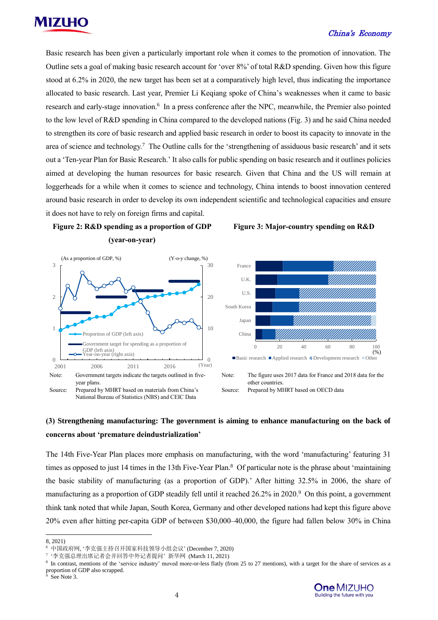

Basic research has been given a particularly important role when it comes to the promotion of innovation. The Outline sets a goal of making basic research account for 'over 8%' of total R&D spending. Given how this figure stood at 6.2% in 2020, the new target has been set at a comparatively high level, thus indicating the importance allocated to basic research. Last year, Premier Li Keqiang spoke of China's weaknesses when it came to basic research and early-stage innovation. 6 In a press conference after the NPC, meanwhile, the Premier also pointed to the low level of R&D spending in China compared to the developed nations (Fig. 3) and he said China needed to strengthen its core of basic research and applied basic research in order to boost its capacity to innovate in the area of science and technology.<sup>7</sup> The Outline calls for the 'strengthening of assiduous basic research' and it sets out a 'Ten-year Plan for Basic Research.' It also calls for public spending on basic research and it outlines policies aimed at developing the human resources for basic research. Given that China and the US will remain at loggerheads for a while when it comes to science and technology, China intends to boost innovation centered around basic research in order to develop its own independent scientific and technological capacities and ensure it does not have to rely on foreign firms and capital.





#### **Figure 3: Major-country spending on R&D**



Source: Prepared by MHRT based on OECD data

# **(3) Strengthening manufacturing: The government is aiming to enhance manufacturing on the back of concerns about 'premature deindustrialization'**

The 14th Five-Year Plan places more emphasis on manufacturing, with the word 'manufacturing' featuring 31 times as opposed to just 14 times in the 13th Five-Year Plan. <sup>8</sup> Of particular note is the phrase about 'maintaining the basic stability of manufacturing (as a proportion of GDP).' After hitting 32.5% in 2006, the share of manufacturing as a proportion of GDP steadily fell until it reached 26.2% in 2020.<sup>9</sup> On this point, a government think tank noted that while Japan, South Korea, Germany and other developed nations had kept this figure above 20% even after hitting per-capita GDP of between \$30,000–40,000, the figure had fallen below 30% in China

 $\overline{a}$ 

<sup>8, 2021)</sup>

<sup>6</sup> 中国政府网, '李克强主持召开国家科技领导小组会议' (December 7, 2020)

<sup>7</sup> '李克强总理出席记者会并回答中外记者提问' 新华网 (March 11, 2021)

<sup>8</sup> In contrast, mentions of the 'service industry' moved more-or-less flatly (from 25 to 27 mentions), with a target for the share of services as a proportion of GDP also scrapped.

See Note 3.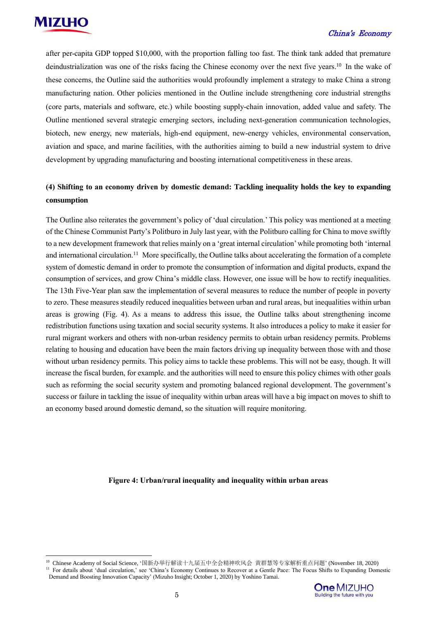

 $\overline{a}$ 

#### China's Economy

after per-capita GDP topped \$10,000, with the proportion falling too fast. The think tank added that premature deindustrialization was one of the risks facing the Chinese economy over the next five years.<sup>10</sup> In the wake of these concerns, the Outline said the authorities would profoundly implement a strategy to make China a strong manufacturing nation. Other policies mentioned in the Outline include strengthening core industrial strengths (core parts, materials and software, etc.) while boosting supply-chain innovation, added value and safety. The Outline mentioned several strategic emerging sectors, including next-generation communication technologies, biotech, new energy, new materials, high-end equipment, new-energy vehicles, environmental conservation, aviation and space, and marine facilities, with the authorities aiming to build a new industrial system to drive development by upgrading manufacturing and boosting international competitiveness in these areas.

# **(4) Shifting to an economy driven by domestic demand: Tackling inequality holds the key to expanding consumption**

The Outline also reiterates the government's policy of 'dual circulation.' This policy was mentioned at a meeting of the Chinese Communist Party's Politburo in July last year, with the Politburo calling for China to move swiftly to a new development framework that relies mainly on a 'great internal circulation' while promoting both 'internal and international circulation.<sup>11</sup> More specifically, the Outline talks about accelerating the formation of a complete system of domestic demand in order to promote the consumption of information and digital products, expand the consumption of services, and grow China's middle class. However, one issue will be how to rectify inequalities. The 13th Five-Year plan saw the implementation of several measures to reduce the number of people in poverty to zero. These measures steadily reduced inequalities between urban and rural areas, but inequalities within urban areas is growing (Fig. 4). As a means to address this issue, the Outline talks about strengthening income redistribution functions using taxation and social security systems. It also introduces a policy to make it easier for rural migrant workers and others with non-urban residency permits to obtain urban residency permits. Problems relating to housing and education have been the main factors driving up inequality between those with and those without urban residency permits. This policy aims to tackle these problems. This will not be easy, though. It will increase the fiscal burden, for example. and the authorities will need to ensure this policy chimes with other goals such as reforming the social security system and promoting balanced regional development. The government's success or failure in tackling the issue of inequality within urban areas will have a big impact on moves to shift to an economy based around domestic demand, so the situation will require monitoring.

#### **Figure 4: Urban/rural inequality and inequality within urban areas**

Demand and Boosting Innovation Capacity' (Mizuho Insight; October 1, 2020) by Yoshino Tamai.



<sup>10</sup> Chinese Academy of Social Science, '国新办举行解读十九届五中全会精神吹风会 黄群慧等专家解析重点问题' (November 18, 2020) <sup>11</sup> For details about 'dual circulation,' see 'China's Economy Continues to Recover at a Gentle Pace: The Focus Shifts to Expanding Domestic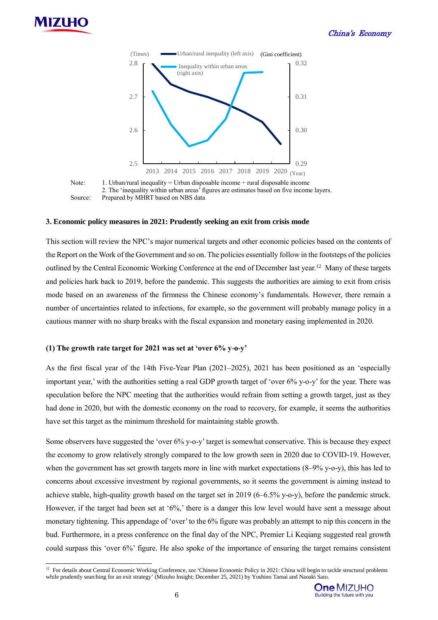

 $\overline{a}$ 



Note: 1. Urban/rural inequality = Urban disposable income  $\div$  rural disposable income 2. The 'inequality within urban areas' figures are estimates based on five income layers. Source: Prepared by MHRT based on NBS data

#### **3. Economic policy measures in 2021: Prudently seeking an exit from crisis mode**

This section will review the NPC's major numerical targets and other economic policies based on the contents of the Report on the Work of the Government and so on. The policies essentially follow in the footsteps of the policies outlined by the Central Economic Working Conference at the end of December last year.<sup>12</sup> Many of these targets and policies hark back to 2019, before the pandemic. This suggests the authorities are aiming to exit from crisis mode based on an awareness of the firmness the Chinese economy's fundamentals. However, there remain a number of uncertainties related to infections, for example, so the government will probably manage policy in a cautious manner with no sharp breaks with the fiscal expansion and monetary easing implemented in 2020.

#### **(1) The growth rate target for 2021 was set at 'over 6% y-o-y'**

As the first fiscal year of the 14th Five-Year Plan (2021–2025), 2021 has been positioned as an 'especially important year,' with the authorities setting a real GDP growth target of 'over 6% y-o-y' for the year. There was speculation before the NPC meeting that the authorities would refrain from setting a growth target, just as they had done in 2020, but with the domestic economy on the road to recovery, for example, it seems the authorities have set this target as the minimum threshold for maintaining stable growth.

Some observers have suggested the 'over 6% y-o-y' target is somewhat conservative. This is because they expect the economy to grow relatively strongly compared to the low growth seen in 2020 due to COVID-19. However, when the government has set growth targets more in line with market expectations (8–9% y-o-y), this has led to concerns about excessive investment by regional governments, so it seems the government is aiming instead to achieve stable, high-quality growth based on the target set in 2019 (6–6.5% y-o-y), before the pandemic struck. However, if the target had been set at '6%,' there is a danger this low level would have sent a message about monetary tightening. This appendage of 'over' to the 6% figure was probably an attempt to nip this concern in the bud. Furthermore, in a press conference on the final day of the NPC, Premier Li Keqiang suggested real growth could surpass this 'over 6%' figure. He also spoke of the importance of ensuring the target remains consistent

<sup>&</sup>lt;sup>12</sup> For details about Central Economic Working Conference, see 'Chinese Economic Policy in 2021: China will begin to tackle structural problems while prudently searching for an exit strategy' (Mizuho Insight; December 25, 2021) by Yoshino Tamai and Naoaki Sato.

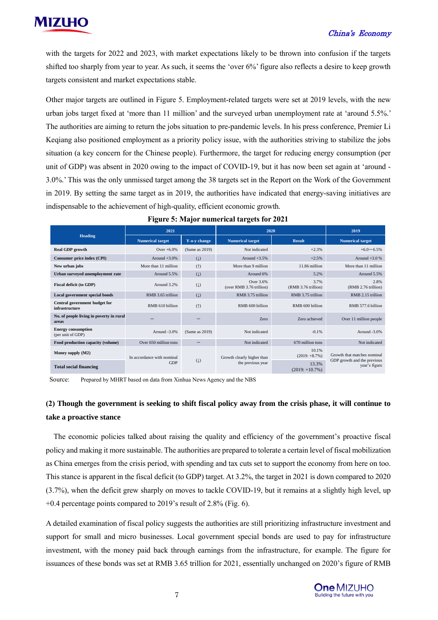with the targets for 2022 and 2023, with market expectations likely to be thrown into confusion if the targets shifted too sharply from year to year. As such, it seems the 'over 6%' figure also reflects a desire to keep growth targets consistent and market expectations stable.

Other major targets are outlined in Figure 5. Employment-related targets were set at 2019 levels, with the new urban jobs target fixed at 'more than 11 million' and the surveyed urban unemployment rate at 'around 5.5%.' The authorities are aiming to return the jobs situation to pre-pandemic levels. In his press conference, Premier Li Keqiang also positioned employment as a priority policy issue, with the authorities striving to stabilize the jobs situation (a key concern for the Chinese people). Furthermore, the target for reducing energy consumption (per unit of GDP) was absent in 2020 owing to the impact of COVID-19, but it has now been set again at 'around - 3.0%.' This was the only unmissed target among the 38 targets set in the Report on the Work of the Government in 2019. By setting the same target as in 2019, the authorities have indicated that energy-saving initiatives are indispensable to the achievement of high-quality, efficient economic growth.

|                                                   | 2021                       |                   | 2020                                            |                             | 2019                                         |  |
|---------------------------------------------------|----------------------------|-------------------|-------------------------------------------------|-----------------------------|----------------------------------------------|--|
| <b>Heading</b>                                    | <b>Numerical target</b>    | Y-o-v change      | <b>Numerical target</b>                         | <b>Result</b>               | <b>Numerical target</b>                      |  |
| <b>Real GDP</b> growth                            | Over $+6.0\%$              | (Same as 2019)    | Not indicated                                   | $+2.3%$                     | $+6.0 - 6.5%$                                |  |
| Consumer price index (CPI)                        | Around $+3.0%$             | (1)               | Around $+3.5%$                                  | $+2.5%$                     | Around $+3.0%$                               |  |
| New urban jobs                                    | More than 11 million       | (1)               | More than 9 million                             | 11.86 million               | More than 11 million                         |  |
| Urban surveyed unemployment rate                  | Around 5.5%                | (1)               | Around 6%                                       | 5.2%                        | Around 5.5%                                  |  |
| <b>Fiscal deficit (to GDP)</b>                    | Around 3.2%                | $(\downarrow)$    | Over 3.6%<br>(over RMB 3.76 trillion)           | 3.7%<br>(RMB 3.76 trillion) | 2.8%<br>(RMB 2.76 trillion)                  |  |
| Local government special bonds                    | RMB 3.65 trillion          | (1)               | RMB 3.75 trillion                               | RMB 3.75 trillion           | RMB 2.15 trillion                            |  |
| Central government budget for<br>infrastructure   | RMB 610 billion            | (1)               | RMB <sub>600</sub> billion                      | RMB <sub>600</sub> billion  | RMB 577.6 billion                            |  |
| No. of people living in poverty in rural<br>areas |                            |                   | Zero                                            | Zero achieved               | Over 11 million people                       |  |
| <b>Energy consumption</b><br>(per unit of GDP)    | Around -3.0%               | (Same as 2019)    | Not indicated                                   | $-0.1%$                     | Around -3.0%                                 |  |
| Food production capacity (volume)                 | Over 650 million tons      |                   | Not indicated                                   | 670 million tons            | Not indicated                                |  |
| Money supply (M2)                                 | In accordance with nominal | (1)<br><b>GDP</b> | Growth clearly higher than<br>the previous year | 10.1%<br>$(2019: +8.7%)$    | Growth that matches nominal                  |  |
| <b>Total social financing</b>                     |                            |                   |                                                 | 13.3%<br>$(2019: +10.7%)$   | GDP growth and the previous<br>year's figure |  |

|  | <b>Figure 5: Major numerical targets for 2021</b> |  |  |
|--|---------------------------------------------------|--|--|
|  |                                                   |  |  |

Source: Prepared by MHRT based on data from Xinhua News Agency and the NBS

# **(2) Though the government is seeking to shift fiscal policy away from the crisis phase, it will continue to take a proactive stance**

The economic policies talked about raising the quality and efficiency of the government's proactive fiscal policy and making it more sustainable. The authorities are prepared to tolerate a certain level of fiscal mobilization as China emerges from the crisis period, with spending and tax cuts set to support the economy from here on too. This stance is apparent in the fiscal deficit (to GDP) target. At 3.2%, the target in 2021 is down compared to 2020 (3.7%), when the deficit grew sharply on moves to tackle COVID-19, but it remains at a slightly high level, up  $+0.4$  percentage points compared to 2019's result of 2.8% (Fig. 6).

A detailed examination of fiscal policy suggests the authorities are still prioritizing infrastructure investment and support for small and micro businesses. Local government special bonds are used to pay for infrastructure investment, with the money paid back through earnings from the infrastructure, for example. The figure for issuances of these bonds was set at RMB 3.65 trillion for 2021, essentially unchanged on 2020's figure of RMB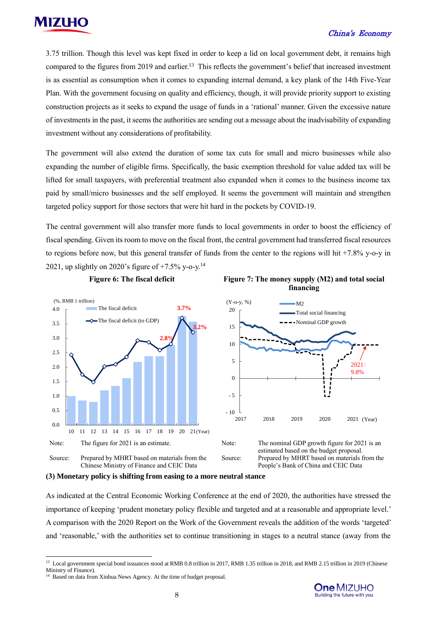

3.75 trillion. Though this level was kept fixed in order to keep a lid on local government debt, it remains high compared to the figures from 2019 and earlier.<sup>13</sup> This reflects the government's belief that increased investment is as essential as consumption when it comes to expanding internal demand, a key plank of the 14th Five-Year Plan. With the government focusing on quality and efficiency, though, it will provide priority support to existing construction projects as it seeks to expand the usage of funds in a 'rational' manner. Given the excessive nature of investments in the past, it seems the authorities are sending out a message about the inadvisability of expanding investment without any considerations of profitability.

The government will also extend the duration of some tax cuts for small and micro businesses while also expanding the number of eligible firms. Specifically, the basic exemption threshold for value added tax will be lifted for small taxpayers, with preferential treatment also expanded when it comes to the business income tax paid by small/micro businesses and the self employed. It seems the government will maintain and strengthen targeted policy support for those sectors that were hit hard in the pockets by COVID-19.

The central government will also transfer more funds to local governments in order to boost the efficiency of fiscal spending. Given its room to move on the fiscal front, the central government had transferred fiscal resources to regions before now, but this general transfer of funds from the center to the regions will hit +7.8% y-o-y in 2021, up slightly on 2020's figure of  $+7.5\%$  y-o-y.<sup>14</sup>





As indicated at the Central Economic Working Conference at the end of 2020, the authorities have stressed the importance of keeping 'prudent monetary policy flexible and targeted and at a reasonable and appropriate level.' A comparison with the 2020 Report on the Work of the Government reveals the addition of the words 'targeted' and 'reasonable,' with the authorities set to continue transitioning in stages to a neutral stance (away from the

 $\overline{a}$ 

**<sup>(3)</sup> Monetary policy is shifting from easing to a more neutral stance**

<sup>&</sup>lt;sup>13</sup> Local government special bond issuances stood at RMB 0.8 trillion in 2017, RMB 1.35 trillion in 2018, and RMB 2.15 trillion in 2019 (Chinese Ministry of Finance).

<sup>&</sup>lt;sup>14</sup> Based on data from Xinhua News Agency. At the time of budget proposal.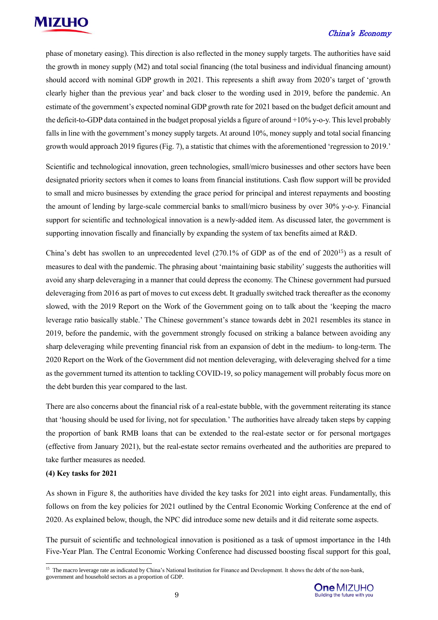

phase of monetary easing). This direction is also reflected in the money supply targets. The authorities have said the growth in money supply (M2) and total social financing (the total business and individual financing amount) should accord with nominal GDP growth in 2021. This represents a shift away from 2020's target of 'growth clearly higher than the previous year' and back closer to the wording used in 2019, before the pandemic. An estimate of the government's expected nominal GDP growth rate for 2021 based on the budget deficit amount and the deficit-to-GDP data contained in the budget proposal yields a figure of around +10% y-o-y. This level probably falls in line with the government's money supply targets. At around 10%, money supply and total social financing growth would approach 2019 figures (Fig. 7), a statistic that chimes with the aforementioned 'regression to 2019.'

Scientific and technological innovation, green technologies, small/micro businesses and other sectors have been designated priority sectors when it comes to loans from financial institutions. Cash flow support will be provided to small and micro businesses by extending the grace period for principal and interest repayments and boosting the amount of lending by large-scale commercial banks to small/micro business by over 30% y-o-y. Financial support for scientific and technological innovation is a newly-added item. As discussed later, the government is supporting innovation fiscally and financially by expanding the system of tax benefits aimed at R&D.

China's debt has swollen to an unprecedented level  $(270.1\%$  of GDP as of the end of  $2020^{15}$ ) as a result of measures to deal with the pandemic. The phrasing about 'maintaining basic stability' suggests the authorities will avoid any sharp deleveraging in a manner that could depress the economy. The Chinese government had pursued deleveraging from 2016 as part of moves to cut excess debt. It gradually switched track thereafter as the economy slowed, with the 2019 Report on the Work of the Government going on to talk about the 'keeping the macro leverage ratio basically stable.' The Chinese government's stance towards debt in 2021 resembles its stance in 2019, before the pandemic, with the government strongly focused on striking a balance between avoiding any sharp deleveraging while preventing financial risk from an expansion of debt in the medium- to long-term. The 2020 Report on the Work of the Government did not mention deleveraging, with deleveraging shelved for a time as the government turned its attention to tackling COVID-19, so policy management will probably focus more on the debt burden this year compared to the last.

There are also concerns about the financial risk of a real-estate bubble, with the government reiterating its stance that 'housing should be used for living, not for speculation.' The authorities have already taken steps by capping the proportion of bank RMB loans that can be extended to the real-estate sector or for personal mortgages (effective from January 2021), but the real-estate sector remains overheated and the authorities are prepared to take further measures as needed.

#### **(4) Key tasks for 2021**

 $\overline{a}$ 

As shown in Figure 8, the authorities have divided the key tasks for 2021 into eight areas. Fundamentally, this follows on from the key policies for 2021 outlined by the Central Economic Working Conference at the end of 2020. As explained below, though, the NPC did introduce some new details and it did reiterate some aspects.

The pursuit of scientific and technological innovation is positioned as a task of upmost importance in the 14th Five-Year Plan. The Central Economic Working Conference had discussed boosting fiscal support for this goal,

<sup>&</sup>lt;sup>15</sup> The macro leverage rate as indicated by China's National Institution for Finance and Development. It shows the debt of the non-bank, government and household sectors as a proportion of GDP.

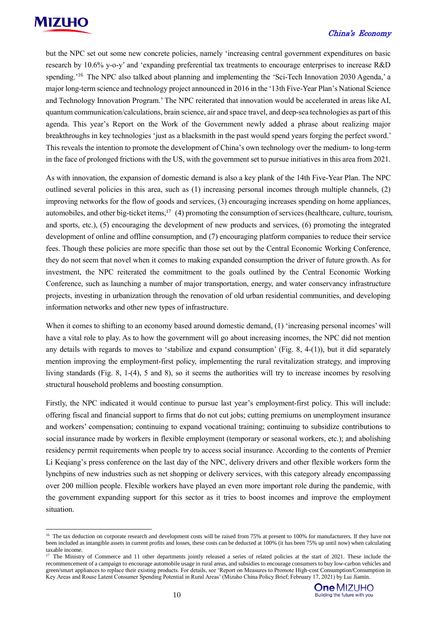

 $\overline{a}$ 

#### China's Economy

but the NPC set out some new concrete policies, namely 'increasing central government expenditures on basic research by 10.6% y-o-y' and 'expanding preferential tax treatments to encourage enterprises to increase R&D spending.'<sup>16</sup> The NPC also talked about planning and implementing the 'Sci-Tech Innovation 2030 Agenda,' a major long-term science and technology project announced in 2016 in the '13th Five-Year Plan's National Science and Technology Innovation Program.' The NPC reiterated that innovation would be accelerated in areas like AI, quantum communication/calculations, brain science, air and space travel, and deep-sea technologies as part of this agenda. This year's Report on the Work of the Government newly added a phrase about realizing major breakthroughs in key technologies 'just as a blacksmith in the past would spend years forging the perfect sword.' This reveals the intention to promote the development of China's own technology over the medium- to long-term in the face of prolonged frictions with the US, with the government set to pursue initiatives in this area from 2021.

As with innovation, the expansion of domestic demand is also a key plank of the 14th Five-Year Plan. The NPC outlined several policies in this area, such as (1) increasing personal incomes through multiple channels, (2) improving networks for the flow of goods and services, (3) encouraging increases spending on home appliances, automobiles, and other big-ticket items,<sup>17</sup> (4) promoting the consumption of services (healthcare, culture, tourism, and sports, etc.), (5) encouraging the development of new products and services, (6) promoting the integrated development of online and offline consumption, and (7) encouraging platform companies to reduce their service fees. Though these policies are more specific than those set out by the Central Economic Working Conference, they do not seem that novel when it comes to making expanded consumption the driver of future growth. As for investment, the NPC reiterated the commitment to the goals outlined by the Central Economic Working Conference, such as launching a number of major transportation, energy, and water conservancy infrastructure projects, investing in urbanization through the renovation of old urban residential communities, and developing information networks and other new types of infrastructure.

When it comes to shifting to an economy based around domestic demand, (1) 'increasing personal incomes' will have a vital role to play. As to how the government will go about increasing incomes, the NPC did not mention any details with regards to moves to 'stabilize and expand consumption' (Fig. 8, 4-(1)), but it did separately mention improving the employment-first policy, implementing the rural revitalization strategy, and improving living standards (Fig. 8, 1-(4), 5 and 8), so it seems the authorities will try to increase incomes by resolving structural household problems and boosting consumption.

Firstly, the NPC indicated it would continue to pursue last year's employment-first policy. This will include: offering fiscal and financial support to firms that do not cut jobs; cutting premiums on unemployment insurance and workers' compensation; continuing to expand vocational training; continuing to subsidize contributions to social insurance made by workers in flexible employment (temporary or seasonal workers, etc.); and abolishing residency permit requirements when people try to access social insurance. According to the contents of Premier Li Keqiang's press conference on the last day of the NPC, delivery drivers and other flexible workers form the lynchpins of new industries such as net shopping or delivery services, with this category already encompassing over 200 million people. Flexible workers have played an even more important role during the pandemic, with the government expanding support for this sector as it tries to boost incomes and improve the employment situation.

<sup>&</sup>lt;sup>17</sup> The Ministry of Commerce and 11 other departments jointly released a series of related policies at the start of 2021. These include the recommencement of a campaign to encourage automobile usage in rural areas, and subsidies to encourage consumers to buy low-carbon vehicles and green/smart appliances to replace their existing products. For details, see 'Report on Measures to Promote High-cost Consumption/Consumption in Key Areas and Rouse Latent Consumer Spending Potential in Rural Areas' (Mizuho China Policy Brief; February 17, 2021) by Lui Jiamin.



<sup>&</sup>lt;sup>16</sup> The tax deduction on corporate research and development costs will be raised from 75% at present to 100% for manufacturers. If they have not been included as intangible assets in current profits and losses, these costs can be deducted at 100% (it has been 75% up until now) when calculating taxable income.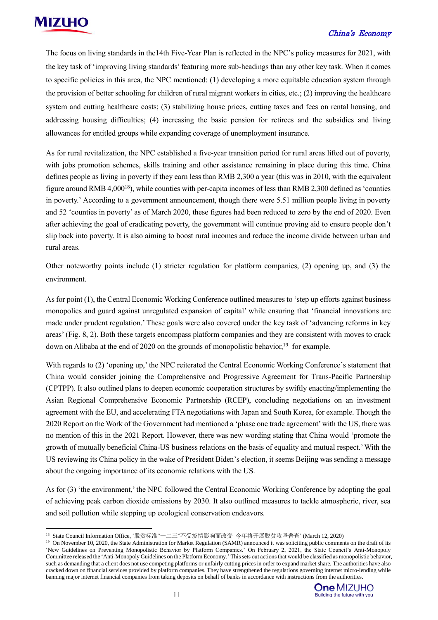

#### China's Economy

The focus on living standards in the14th Five-Year Plan is reflected in the NPC's policy measures for 2021, with the key task of 'improving living standards' featuring more sub-headings than any other key task. When it comes to specific policies in this area, the NPC mentioned: (1) developing a more equitable education system through the provision of better schooling for children of rural migrant workers in cities, etc.; (2) improving the healthcare system and cutting healthcare costs; (3) stabilizing house prices, cutting taxes and fees on rental housing, and addressing housing difficulties; (4) increasing the basic pension for retirees and the subsidies and living allowances for entitled groups while expanding coverage of unemployment insurance.

As for rural revitalization, the NPC established a five-year transition period for rural areas lifted out of poverty, with jobs promotion schemes, skills training and other assistance remaining in place during this time. China defines people as living in poverty if they earn less than RMB 2,300 a year (this was in 2010, with the equivalent figure around RMB 4,000<sup>18</sup>), while counties with per-capita incomes of less than RMB 2,300 defined as 'counties in poverty.' According to a government announcement, though there were 5.51 million people living in poverty and 52 'counties in poverty' as of March 2020, these figures had been reduced to zero by the end of 2020. Even after achieving the goal of eradicating poverty, the government will continue proving aid to ensure people don't slip back into poverty. It is also aiming to boost rural incomes and reduce the income divide between urban and rural areas.

Other noteworthy points include (1) stricter regulation for platform companies, (2) opening up, and (3) the environment.

As for point (1), the Central Economic Working Conference outlined measures to 'step up efforts against business monopolies and guard against unregulated expansion of capital' while ensuring that 'financial innovations are made under prudent regulation.' These goals were also covered under the key task of 'advancing reforms in key areas' (Fig. 8, 2). Both these targets encompass platform companies and they are consistent with moves to crack down on Alibaba at the end of 2020 on the grounds of monopolistic behavior,<sup>19</sup> for example.

With regards to (2) 'opening up,' the NPC reiterated the Central Economic Working Conference's statement that China would consider joining the Comprehensive and Progressive Agreement for Trans-Pacific Partnership (CPTPP). It also outlined plans to deepen economic cooperation structures by swiftly enacting/implementing the Asian Regional Comprehensive Economic Partnership (RCEP), concluding negotiations on an investment agreement with the EU, and accelerating FTA negotiations with Japan and South Korea, for example. Though the 2020 Report on the Work of the Government had mentioned a 'phase one trade agreement' with the US, there was no mention of this in the 2021 Report. However, there was new wording stating that China would 'promote the growth of mutually beneficial China-US business relations on the basis of equality and mutual respect.' With the US reviewing its China policy in the wake of President Biden's election, it seems Beijing was sending a message about the ongoing importance of its economic relations with the US.

As for (3) 'the environment,' the NPC followed the Central Economic Working Conference by adopting the goal of achieving peak carbon dioxide emissions by 2030. It also outlined measures to tackle atmospheric, river, sea and soil pollution while stepping up ecological conservation endeavors.

<sup>&</sup>lt;sup>19</sup> On November 10, 2020, the State Administration for Market Regulation (SAMR) announced it was soliciting public comments on the draft of its 'New Guidelines on Preventing Monopolistic Behavior by Platform Companies.' On February 2, 2021, the State Council's Anti-Monopoly Committee released the 'Anti-Monopoly Guidelines on the Platform Economy.' This sets out actions that would be classified as monopolistic behavior, such as demanding that a client does not use competing platforms or unfairly cutting prices in order to expand market share. The authorities have also cracked down on financial services provided by platform companies. They have strengthened the regulations governing internet micro-lending while banning major internet financial companies from taking deposits on behalf of banks in accordance with instructions from the authorities.



<sup>18</sup> State Council Information Office, '脱贫标准"一二三"不受疫情影响而改变 今年将开展脱贫攻坚普查' (March 12, 2020)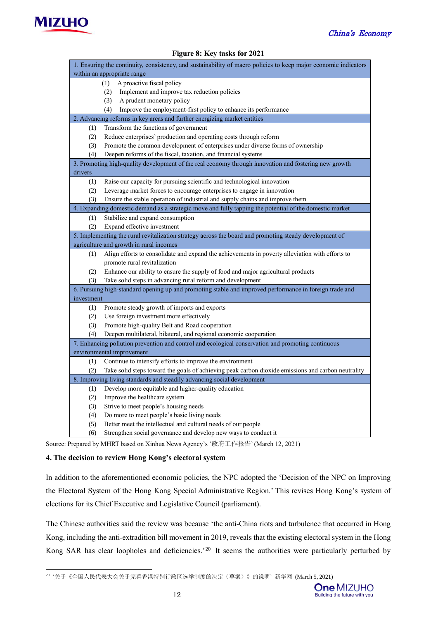

#### **Figure 8: Key tasks for 2021**

| 1. Ensuring the continuity, consistency, and sustainability of macro policies to keep major economic indicators |                                                                                                         |  |  |  |  |  |
|-----------------------------------------------------------------------------------------------------------------|---------------------------------------------------------------------------------------------------------|--|--|--|--|--|
| within an appropriate range                                                                                     |                                                                                                         |  |  |  |  |  |
|                                                                                                                 | A proactive fiscal policy<br>(1)                                                                        |  |  |  |  |  |
|                                                                                                                 | Implement and improve tax reduction policies<br>(2)                                                     |  |  |  |  |  |
|                                                                                                                 | A prudent monetary policy<br>(3)                                                                        |  |  |  |  |  |
|                                                                                                                 | Improve the employment-first policy to enhance its performance<br>(4)                                   |  |  |  |  |  |
|                                                                                                                 | 2. Advancing reforms in key areas and further energizing market entities                                |  |  |  |  |  |
| (1)                                                                                                             | Transform the functions of government                                                                   |  |  |  |  |  |
| (2)                                                                                                             | Reduce enterprises' production and operating costs through reform                                       |  |  |  |  |  |
| (3)                                                                                                             | Promote the common development of enterprises under diverse forms of ownership                          |  |  |  |  |  |
| (4)                                                                                                             | Deepen reforms of the fiscal, taxation, and financial systems                                           |  |  |  |  |  |
|                                                                                                                 | 3. Promoting high-quality development of the real economy through innovation and fostering new growth   |  |  |  |  |  |
| drivers                                                                                                         |                                                                                                         |  |  |  |  |  |
| (1)                                                                                                             | Raise our capacity for pursuing scientific and technological innovation                                 |  |  |  |  |  |
| (2)                                                                                                             | Leverage market forces to encourage enterprises to engage in innovation                                 |  |  |  |  |  |
| (3)                                                                                                             | Ensure the stable operation of industrial and supply chains and improve them                            |  |  |  |  |  |
|                                                                                                                 | 4. Expanding domestic demand as a strategic move and fully tapping the potential of the domestic market |  |  |  |  |  |
| (1)                                                                                                             | Stabilize and expand consumption                                                                        |  |  |  |  |  |
| (2)                                                                                                             | Expand effective investment                                                                             |  |  |  |  |  |
|                                                                                                                 | 5. Implementing the rural revitalization strategy across the board and promoting steady development of  |  |  |  |  |  |
|                                                                                                                 | agriculture and growth in rural incomes                                                                 |  |  |  |  |  |
| (1)                                                                                                             | Align efforts to consolidate and expand the achievements in poverty alleviation with efforts to         |  |  |  |  |  |
|                                                                                                                 | promote rural revitalization                                                                            |  |  |  |  |  |
| (2)                                                                                                             | Enhance our ability to ensure the supply of food and major agricultural products                        |  |  |  |  |  |
| (3)                                                                                                             | Take solid steps in advancing rural reform and development                                              |  |  |  |  |  |
|                                                                                                                 | 6. Pursuing high-standard opening up and promoting stable and improved performance in foreign trade and |  |  |  |  |  |
| investment                                                                                                      |                                                                                                         |  |  |  |  |  |
| (1)                                                                                                             | Promote steady growth of imports and exports                                                            |  |  |  |  |  |
| (2)                                                                                                             | Use foreign investment more effectively                                                                 |  |  |  |  |  |
| (3)                                                                                                             | Promote high-quality Belt and Road cooperation                                                          |  |  |  |  |  |
| (4)                                                                                                             | Deepen multilateral, bilateral, and regional economic cooperation                                       |  |  |  |  |  |
| 7. Enhancing pollution prevention and control and ecological conservation and promoting continuous              |                                                                                                         |  |  |  |  |  |
| environmental improvement                                                                                       |                                                                                                         |  |  |  |  |  |
| (1)                                                                                                             | Continue to intensify efforts to improve the environment                                                |  |  |  |  |  |
| (2)                                                                                                             | Take solid steps toward the goals of achieving peak carbon dioxide emissions and carbon neutrality      |  |  |  |  |  |
| 8. Improving living standards and steadily advancing social development                                         |                                                                                                         |  |  |  |  |  |
| (1)                                                                                                             | Develop more equitable and higher-quality education                                                     |  |  |  |  |  |
| (2)                                                                                                             | Improve the healthcare system                                                                           |  |  |  |  |  |
| (3)                                                                                                             | Strive to meet people's housing needs                                                                   |  |  |  |  |  |
| (4)                                                                                                             | Do more to meet people's basic living needs                                                             |  |  |  |  |  |
| (5)                                                                                                             | Better meet the intellectual and cultural needs of our people                                           |  |  |  |  |  |
| (6)                                                                                                             | Strengthen social governance and develop new ways to conduct it                                         |  |  |  |  |  |

Source: Prepared by MHRT based on Xinhua News Agency's '政府工作报告' (March 12, 2021)

#### **4. The decision to review Hong Kong's electoral system**

In addition to the aforementioned economic policies, the NPC adopted the 'Decision of the NPC on Improving the Electoral System of the Hong Kong Special Administrative Region.' This revises Hong Kong's system of elections for its Chief Executive and Legislative Council (parliament).

The Chinese authorities said the review was because 'the anti-China riots and turbulence that occurred in Hong Kong, including the anti-extradition bill movement in 2019, reveals that the existing electoral system in the Hong Kong SAR has clear loopholes and deficiencies.<sup>20</sup> It seems the authorities were particularly perturbed by

 20 '关于《全国人民代表大会关于完善香港特别行政区选举制度的决定(草案)》的说明' 新华网 (March 5, 2021)

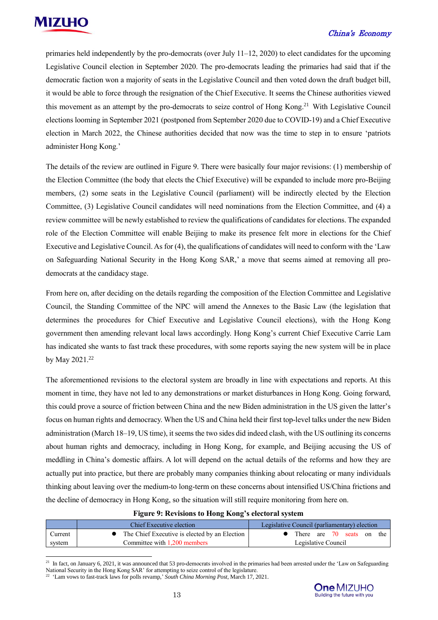primaries held independently by the pro-democrats (over July 11–12, 2020) to elect candidates for the upcoming Legislative Council election in September 2020. The pro-democrats leading the primaries had said that if the democratic faction won a majority of seats in the Legislative Council and then voted down the draft budget bill, it would be able to force through the resignation of the Chief Executive. It seems the Chinese authorities viewed this movement as an attempt by the pro-democrats to seize control of Hong Kong. <sup>21</sup> With Legislative Council elections looming in September 2021 (postponed from September 2020 due to COVID-19) and a Chief Executive election in March 2022, the Chinese authorities decided that now was the time to step in to ensure 'patriots administer Hong Kong.'

The details of the review are outlined in Figure 9. There were basically four major revisions: (1) membership of the Election Committee (the body that elects the Chief Executive) will be expanded to include more pro-Beijing members, (2) some seats in the Legislative Council (parliament) will be indirectly elected by the Election Committee, (3) Legislative Council candidates will need nominations from the Election Committee, and (4) a review committee will be newly established to review the qualifications of candidates for elections. The expanded role of the Election Committee will enable Beijing to make its presence felt more in elections for the Chief Executive and Legislative Council. As for (4), the qualifications of candidates will need to conform with the 'Law on Safeguarding National Security in the Hong Kong SAR,' a move that seems aimed at removing all prodemocrats at the candidacy stage.

From here on, after deciding on the details regarding the composition of the Election Committee and Legislative Council, the Standing Committee of the NPC will amend the Annexes to the Basic Law (the legislation that determines the procedures for Chief Executive and Legislative Council elections), with the Hong Kong government then amending relevant local laws accordingly. Hong Kong's current Chief Executive Carrie Lam has indicated she wants to fast track these procedures, with some reports saying the new system will be in place by May 2021. 22

The aforementioned revisions to the electoral system are broadly in line with expectations and reports. At this moment in time, they have not led to any demonstrations or market disturbances in Hong Kong. Going forward, this could prove a source of friction between China and the new Biden administration in the US given the latter's focus on human rights and democracy. When the US and China held their first top-level talks under the new Biden administration (March 18–19, US time), it seems the two sides did indeed clash, with the US outlining its concerns about human rights and democracy, including in Hong Kong, for example, and Beijing accusing the US of meddling in China's domestic affairs. A lot will depend on the actual details of the reforms and how they are actually put into practice, but there are probably many companies thinking about relocating or many individuals thinking about leaving over the medium-to long-term on these concerns about intensified US/China frictions and the decline of democracy in Hong Kong, so the situation will still require monitoring from here on.

| Figure 9: Revisions to Hong Kong's electoral system |  |  |
|-----------------------------------------------------|--|--|
|                                                     |  |  |

|         | Chief Executive election                      | Legislative Council (parliamentary) election |  |  |  |
|---------|-----------------------------------------------|----------------------------------------------|--|--|--|
| Current | The Chief Executive is elected by an Election | There are 70 seats on the                    |  |  |  |
| system  | Committee with 1.200 members                  | Legislative Council                          |  |  |  |

<sup>21</sup> In fact, on January 6, 2021, it was announced that 53 pro-democrats involved in the primaries had been arrested under the 'Law on Safeguarding National Security in the Hong Kong SAR' for attempting to seize control of the legislature.

 $\overline{a}$ 



<sup>22</sup> 'Lam vows to fast-track laws for polls revamp,' *South China Morning Post*, March 17, 2021.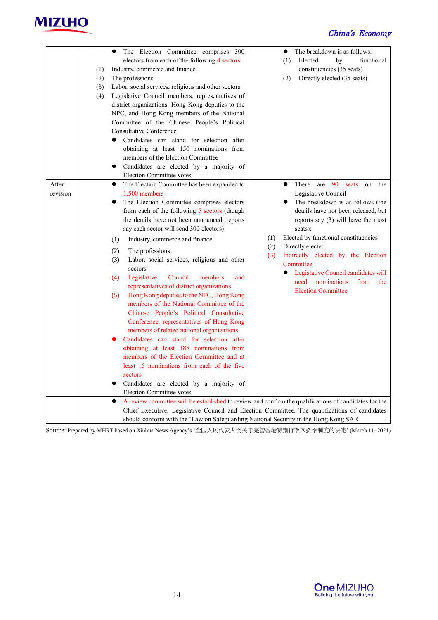

|                   | (1)<br>(2)<br>(3)<br>(4) | The Election Committee comprises 300<br>electors from each of the following 4 sectors:<br>Industry, commerce and finance<br>The professions<br>Labor, social services, religious and other sectors<br>Legislative Council members, representatives of<br>district organizations, Hong Kong deputies to the<br>NPC, and Hong Kong members of the National<br>Committee of the Chinese People's Political<br><b>Consultative Conference</b><br>Candidates can stand for selection after<br>$\bullet$<br>obtaining at least 150 nominations from<br>members of the Election Committee<br>Candidates are elected by a majority of<br>$\bullet$<br><b>Election Committee votes</b>                                                                                                                                                                                                                                                                                                                                            |                   | The breakdown is as follows:<br>$\bullet$<br>Elected<br>functional<br>(1)<br>by<br>constituencies (35 seats)<br>Directly elected (35 seats)<br>(2)                                                                                                                                                                                                                                                                                |
|-------------------|--------------------------|--------------------------------------------------------------------------------------------------------------------------------------------------------------------------------------------------------------------------------------------------------------------------------------------------------------------------------------------------------------------------------------------------------------------------------------------------------------------------------------------------------------------------------------------------------------------------------------------------------------------------------------------------------------------------------------------------------------------------------------------------------------------------------------------------------------------------------------------------------------------------------------------------------------------------------------------------------------------------------------------------------------------------|-------------------|-----------------------------------------------------------------------------------------------------------------------------------------------------------------------------------------------------------------------------------------------------------------------------------------------------------------------------------------------------------------------------------------------------------------------------------|
| After<br>revision |                          | The Election Committee has been expanded to<br>$\bullet$<br>1,500 members<br>The Election Committee comprises electors<br>$\bullet$<br>from each of the following 5 sectors (though<br>the details have not been announced, reports<br>say each sector will send 300 electors)<br>Industry, commerce and finance<br>(1)<br>The professions<br>(2)<br>Labor, social services, religious and other<br>(3)<br>sectors<br>Legislative<br>Council<br>members<br>(4)<br>and<br>representatives of district organizations<br>Hong Kong deputies to the NPC, Hong Kong<br>(5)<br>members of the National Committee of the<br>Chinese People's Political Consultative<br>Conference, representatives of Hong Kong<br>members of related national organizations<br>Candidates can stand for selection after<br>obtaining at least 188 nominations from<br>members of the Election Committee and at<br>least 15 nominations from each of the five<br>sectors<br>Candidates are elected by a majority of<br>Election Committee votes | (1)<br>(2)<br>(3) | There are 90 seats<br>$\bullet$<br>on the<br>Legislative Council<br>The breakdown is as follows (the<br>details have not been released, but<br>reports say $(3)$ will have the most<br>seats):<br>Elected by functional constituencies<br>Directly elected<br>Indirectly elected by the Election<br>Committee<br>Legislative Council candidates will<br>$\bullet$<br>need nominations<br>from<br>the<br><b>Election Committee</b> |
|                   |                          | A review committee will be established to review and confirm the qualifications of candidates for the<br>$\bullet$<br>Chief Executive, Legislative Council and Election Committee. The qualifications of candidates<br>should conform with the 'Law on Safeguarding National Security in the Hong Kong SAR'                                                                                                                                                                                                                                                                                                                                                                                                                                                                                                                                                                                                                                                                                                              |                   |                                                                                                                                                                                                                                                                                                                                                                                                                                   |

Source: Prepared by MHRT based on Xinhua News Agency's '全国人民代表大会关于完善香港特别行政区选举制度的决定' (March 11, 2021)